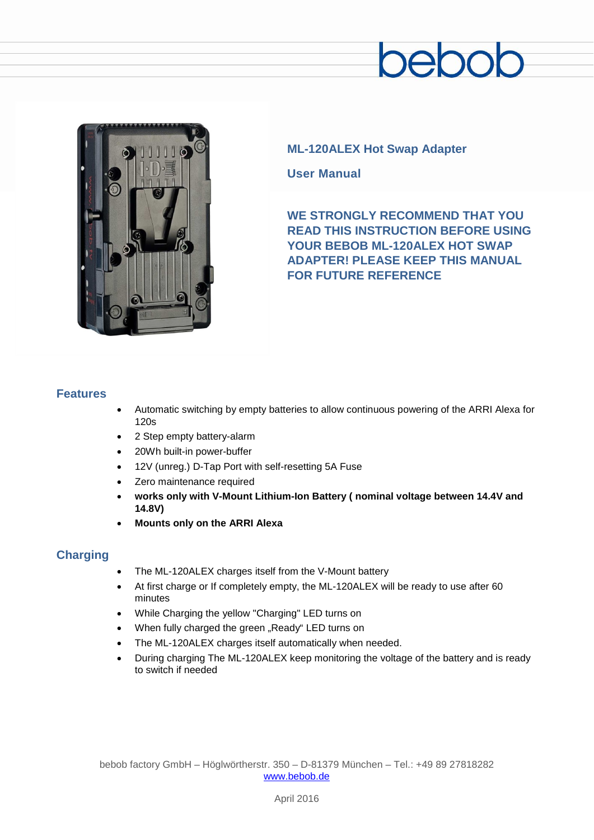# $\supseteq$



## **ML-120ALEX Hot Swap Adapter**

**User Manual**

**WE STRONGLY RECOMMEND THAT YOU READ THIS INSTRUCTION BEFORE USING YOUR BEBOB ML-120ALEX HOT SWAP ADAPTER! PLEASE KEEP THIS MANUAL FOR FUTURE REFERENCE**

### **Features**

- Automatic switching by empty batteries to allow continuous powering of the ARRI Alexa for 120s
- 2 Step empty battery-alarm
- 20Wh built-in power-buffer
- 12V (unreg.) D-Tap Port with self-resetting 5A Fuse
- Zero maintenance required
- **works only with V-Mount Lithium-Ion Battery ( nominal voltage between 14.4V and 14.8V)**
- **Mounts only on the ARRI Alexa**

# **Charging**

- The ML-120ALEX charges itself from the V-Mount battery
- At first charge or If completely empty, the ML-120ALEX will be ready to use after 60 minutes
- While Charging the yellow "Charging" LED turns on
- When fully charged the green "Ready" LED turns on
- The ML-120ALEX charges itself automatically when needed.
- During charging The ML-120ALEX keep monitoring the voltage of the battery and is ready to switch if needed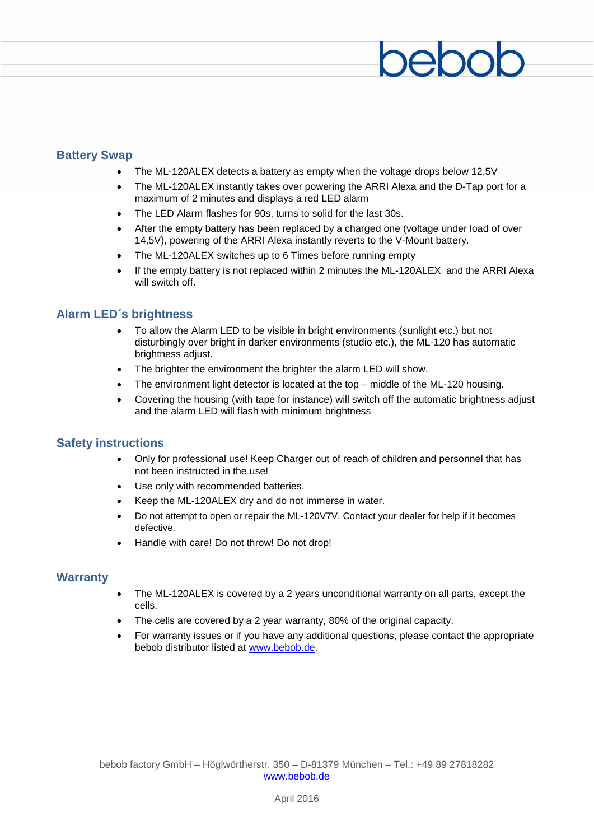### **Battery Swap**

- The ML-120ALEX detects a battery as empty when the voltage drops below 12,5V
- The ML-120ALEX instantly takes over powering the ARRI Alexa and the D-Tap port for a maximum of 2 minutes and displays a red LED alarm
- The LED Alarm flashes for 90s, turns to solid for the last 30s.
- After the empty battery has been replaced by a charged one (voltage under load of over 14,5V), powering of the ARRI Alexa instantly reverts to the V-Mount battery.
- The ML-120ALEX switches up to 6 Times before running empty
- If the empty battery is not replaced within 2 minutes the ML-120ALEX and the ARRI Alexa will switch off.

#### **Alarm LED´s brightness**

- To allow the Alarm LED to be visible in bright environments (sunlight etc.) but not disturbingly over bright in darker environments (studio etc.), the ML-120 has automatic brightness adjust.
- The brighter the environment the brighter the alarm LED will show.
- The environment light detector is located at the top  $-$  middle of the ML-120 housing.
- Covering the housing (with tape for instance) will switch off the automatic brightness adjust and the alarm LED will flash with minimum brightness

#### **Safety instructions**

- Only for professional use! Keep Charger out of reach of children and personnel that has not been instructed in the use!
- Use only with recommended batteries.
- Keep the ML-120ALEX dry and do not immerse in water.
- Do not attempt to open or repair the ML-120V7V. Contact your dealer for help if it becomes defective.
- Handle with care! Do not throw! Do not drop!

#### **Warranty**

- The ML-120ALEX is covered by a 2 years unconditional warranty on all parts, except the cells.
- The cells are covered by a 2 year warranty, 80% of the original capacity.
- For warranty issues or if you have any additional questions, please contact the appropriate bebob distributor listed at [www.bebob.de.](http://www.bebob.de/)